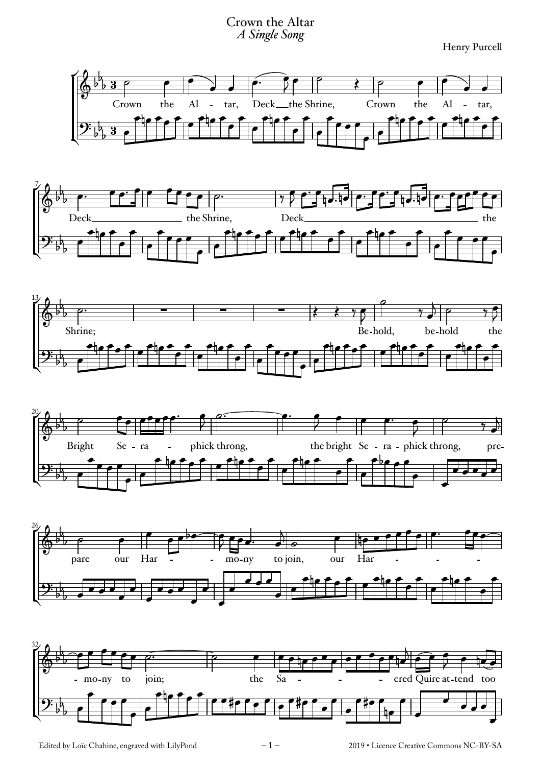## Crown the Altar *A Single Song*

Henry Purcell













Edited by Loïc Chahine, engraved with LilyPond  $-1 -$  2019 • Licence Creative Commons NC-BY-SA